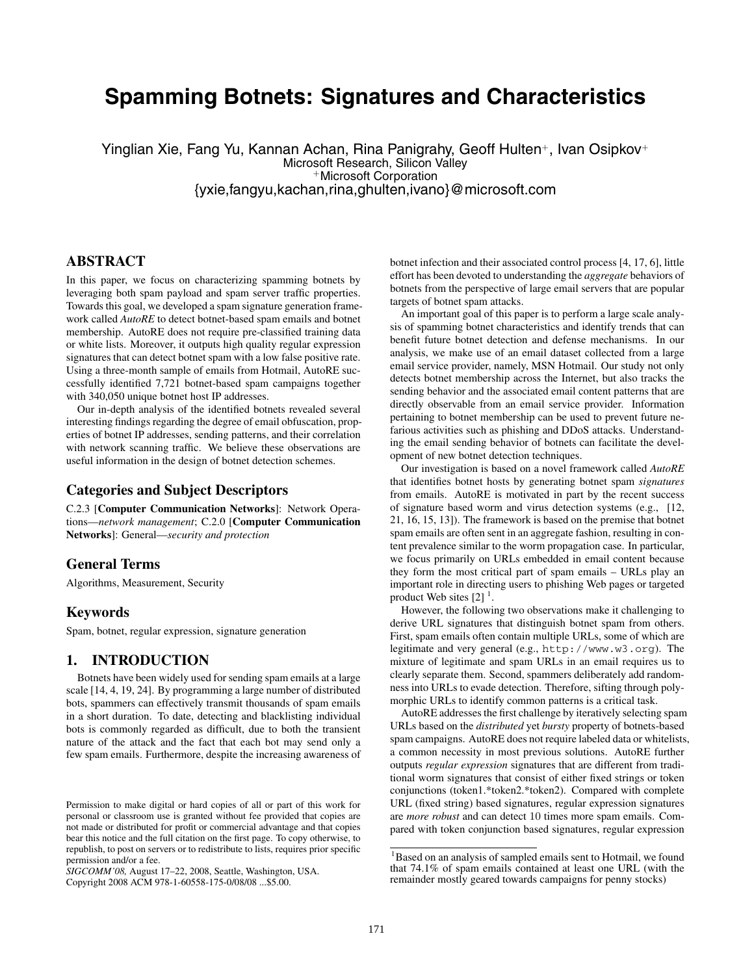# **Spamming Botnets: Signatures and Characteristics**

Yinglian Xie, Fang Yu, Kannan Achan, Rina Panigrahy, Geoff Hulten+, Ivan Osipkov<sup>+</sup> Microsoft Research, Silicon Valley <sup>+</sup>Microsoft Corporation {yxie,fangyu,kachan,rina,ghulten,ivano}@microsoft.com

## **ABSTRACT**

In this paper, we focus on characterizing spamming botnets by leveraging both spam payload and spam server traffic properties. Towards this goal, we developed a spam signature generation framework called *AutoRE* to detect botnet-based spam emails and botnet membership. AutoRE does not require pre-classified training data or white lists. Moreover, it outputs high quality regular expression signatures that can detect botnet spam with a low false positive rate. Using a three-month sample of emails from Hotmail, AutoRE successfully identified 7,721 botnet-based spam campaigns together with 340,050 unique botnet host IP addresses.

Our in-depth analysis of the identified botnets revealed several interesting findings regarding the degree of email obfuscation, properties of botnet IP addresses, sending patterns, and their correlation with network scanning traffic. We believe these observations are useful information in the design of botnet detection schemes.

## **Categories and Subject Descriptors**

C.2.3 [**Computer Communication Networks**]: Network Operations—*network management*; C.2.0 [**Computer Communication Networks**]: General—*security and protection*

#### **General Terms**

Algorithms, Measurement, Security

#### **Keywords**

Spam, botnet, regular expression, signature generation

## **1. INTRODUCTION**

Botnets have been widely used for sending spam emails at a large scale [14, 4, 19, 24]. By programming a large number of distributed bots, spammers can effectively transmit thousands of spam emails in a short duration. To date, detecting and blacklisting individual bots is commonly regarded as difficult, due to both the transient nature of the attack and the fact that each bot may send only a few spam emails. Furthermore, despite the increasing awareness of botnet infection and their associated control process [4, 17, 6], little effort has been devoted to understanding the *aggregate* behaviors of botnets from the perspective of large email servers that are popular targets of botnet spam attacks.

An important goal of this paper is to perform a large scale analysis of spamming botnet characteristics and identify trends that can benefit future botnet detection and defense mechanisms. In our analysis, we make use of an email dataset collected from a large email service provider, namely, MSN Hotmail. Our study not only detects botnet membership across the Internet, but also tracks the sending behavior and the associated email content patterns that are directly observable from an email service provider. Information pertaining to botnet membership can be used to prevent future nefarious activities such as phishing and DDoS attacks. Understanding the email sending behavior of botnets can facilitate the development of new botnet detection techniques.

Our investigation is based on a novel framework called *AutoRE* that identifies botnet hosts by generating botnet spam *signatures* from emails. AutoRE is motivated in part by the recent success of signature based worm and virus detection systems (e.g., [12, 21, 16, 15, 13]). The framework is based on the premise that botnet spam emails are often sent in an aggregate fashion, resulting in content prevalence similar to the worm propagation case. In particular, we focus primarily on URLs embedded in email content because they form the most critical part of spam emails – URLs play an important role in directing users to phishing Web pages or targeted product Web sites  $[2]$ <sup>1</sup>.

However, the following two observations make it challenging to derive URL signatures that distinguish botnet spam from others. First, spam emails often contain multiple URLs, some of which are legitimate and very general (e.g., http://www.w3.org). The mixture of legitimate and spam URLs in an email requires us to clearly separate them. Second, spammers deliberately add randomness into URLs to evade detection. Therefore, sifting through polymorphic URLs to identify common patterns is a critical task.

AutoRE addresses the first challenge by iteratively selecting spam URLs based on the *distributed* yet *bursty* property of botnets-based spam campaigns. AutoRE does not require labeled data or whitelists, a common necessity in most previous solutions. AutoRE further outputs *regular expression* signatures that are different from traditional worm signatures that consist of either fixed strings or token conjunctions (token1.\*token2.\*token2). Compared with complete URL (fixed string) based signatures, regular expression signatures are *more robust* and can detect 10 times more spam emails. Compared with token conjunction based signatures, regular expression

Permission to make digital or hard copies of all or part of this work for personal or classroom use is granted without fee provided that copies are not made or distributed for profit or commercial advantage and that copies bear this notice and the full citation on the first page. To copy otherwise, to republish, to post on servers or to redistribute to lists, requires prior specific permission and/or a fee.

*SIGCOMM'08,* August 17–22, 2008, Seattle, Washington, USA.

Copyright 2008 ACM 978-1-60558-175-0/08/08 ...\$5.00.

<sup>&</sup>lt;sup>1</sup>Based on an analysis of sampled emails sent to Hotmail, we found that 74.1% of spam emails contained at least one URL (with the remainder mostly geared towards campaigns for penny stocks)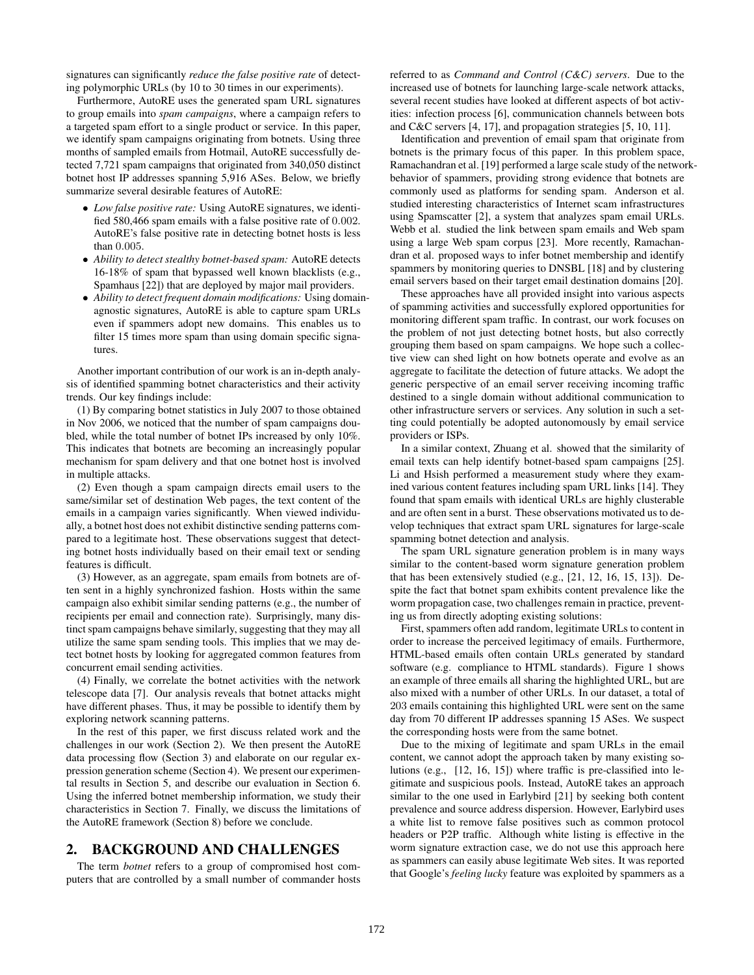signatures can significantly *reduce the false positive rate* of detecting polymorphic URLs (by 10 to 30 times in our experiments).

Furthermore, AutoRE uses the generated spam URL signatures to group emails into *spam campaigns*, where a campaign refers to a targeted spam effort to a single product or service. In this paper, we identify spam campaigns originating from botnets. Using three months of sampled emails from Hotmail, AutoRE successfully detected 7,721 spam campaigns that originated from 340,050 distinct botnet host IP addresses spanning 5,916 ASes. Below, we briefly summarize several desirable features of AutoRE:

- *• Low false positive rate:* Using AutoRE signatures, we identified 580,466 spam emails with a false positive rate of 0*.*002. AutoRE's false positive rate in detecting botnet hosts is less than 0*.*005.
- *• Ability to detect stealthy botnet-based spam:* AutoRE detects 16-18% of spam that bypassed well known blacklists (e.g., Spamhaus [22]) that are deployed by major mail providers.
- *• Ability to detect frequent domain modifications:* Using domainagnostic signatures, AutoRE is able to capture spam URLs even if spammers adopt new domains. This enables us to filter 15 times more spam than using domain specific signatures.

Another important contribution of our work is an in-depth analysis of identified spamming botnet characteristics and their activity trends. Our key findings include:

(1) By comparing botnet statistics in July 2007 to those obtained in Nov 2006, we noticed that the number of spam campaigns doubled, while the total number of botnet IPs increased by only 10%. This indicates that botnets are becoming an increasingly popular mechanism for spam delivery and that one botnet host is involved in multiple attacks.

(2) Even though a spam campaign directs email users to the same/similar set of destination Web pages, the text content of the emails in a campaign varies significantly. When viewed individually, a botnet host does not exhibit distinctive sending patterns compared to a legitimate host. These observations suggest that detecting botnet hosts individually based on their email text or sending features is difficult.

(3) However, as an aggregate, spam emails from botnets are often sent in a highly synchronized fashion. Hosts within the same campaign also exhibit similar sending patterns (e.g., the number of recipients per email and connection rate). Surprisingly, many distinct spam campaigns behave similarly, suggesting that they may all utilize the same spam sending tools. This implies that we may detect botnet hosts by looking for aggregated common features from concurrent email sending activities.

(4) Finally, we correlate the botnet activities with the network telescope data [7]. Our analysis reveals that botnet attacks might have different phases. Thus, it may be possible to identify them by exploring network scanning patterns.

In the rest of this paper, we first discuss related work and the challenges in our work (Section 2). We then present the AutoRE data processing flow (Section 3) and elaborate on our regular expression generation scheme (Section 4). We present our experimental results in Section 5, and describe our evaluation in Section 6. Using the inferred botnet membership information, we study their characteristics in Section 7. Finally, we discuss the limitations of the AutoRE framework (Section 8) before we conclude.

## **2. BACKGROUND AND CHALLENGES**

The term *botnet* refers to a group of compromised host computers that are controlled by a small number of commander hosts referred to as *Command and Control (C&C) servers*. Due to the increased use of botnets for launching large-scale network attacks, several recent studies have looked at different aspects of bot activities: infection process [6], communication channels between bots and C&C servers [4, 17], and propagation strategies [5, 10, 11].

Identification and prevention of email spam that originate from botnets is the primary focus of this paper. In this problem space, Ramachandran et al. [19] performed a large scale study of the networkbehavior of spammers, providing strong evidence that botnets are commonly used as platforms for sending spam. Anderson et al. studied interesting characteristics of Internet scam infrastructures using Spamscatter [2], a system that analyzes spam email URLs. Webb et al. studied the link between spam emails and Web spam using a large Web spam corpus [23]. More recently, Ramachandran et al. proposed ways to infer botnet membership and identify spammers by monitoring queries to DNSBL [18] and by clustering email servers based on their target email destination domains [20].

These approaches have all provided insight into various aspects of spamming activities and successfully explored opportunities for monitoring different spam traffic. In contrast, our work focuses on the problem of not just detecting botnet hosts, but also correctly grouping them based on spam campaigns. We hope such a collective view can shed light on how botnets operate and evolve as an aggregate to facilitate the detection of future attacks. We adopt the generic perspective of an email server receiving incoming traffic destined to a single domain without additional communication to other infrastructure servers or services. Any solution in such a setting could potentially be adopted autonomously by email service providers or ISPs.

In a similar context, Zhuang et al. showed that the similarity of email texts can help identify botnet-based spam campaigns [25]. Li and Hsish performed a measurement study where they examined various content features including spam URL links [14]. They found that spam emails with identical URLs are highly clusterable and are often sent in a burst. These observations motivated us to develop techniques that extract spam URL signatures for large-scale spamming botnet detection and analysis.

The spam URL signature generation problem is in many ways similar to the content-based worm signature generation problem that has been extensively studied (e.g., [21, 12, 16, 15, 13]). Despite the fact that botnet spam exhibits content prevalence like the worm propagation case, two challenges remain in practice, preventing us from directly adopting existing solutions:

First, spammers often add random, legitimate URLs to content in order to increase the perceived legitimacy of emails. Furthermore, HTML-based emails often contain URLs generated by standard software (e.g. compliance to HTML standards). Figure 1 shows an example of three emails all sharing the highlighted URL, but are also mixed with a number of other URLs. In our dataset, a total of 203 emails containing this highlighted URL were sent on the same day from 70 different IP addresses spanning 15 ASes. We suspect the corresponding hosts were from the same botnet.

Due to the mixing of legitimate and spam URLs in the email content, we cannot adopt the approach taken by many existing solutions (e.g., [12, 16, 15]) where traffic is pre-classified into legitimate and suspicious pools. Instead, AutoRE takes an approach similar to the one used in Earlybird [21] by seeking both content prevalence and source address dispersion. However, Earlybird uses a white list to remove false positives such as common protocol headers or P2P traffic. Although white listing is effective in the worm signature extraction case, we do not use this approach here as spammers can easily abuse legitimate Web sites. It was reported that Google's *feeling lucky* feature was exploited by spammers as a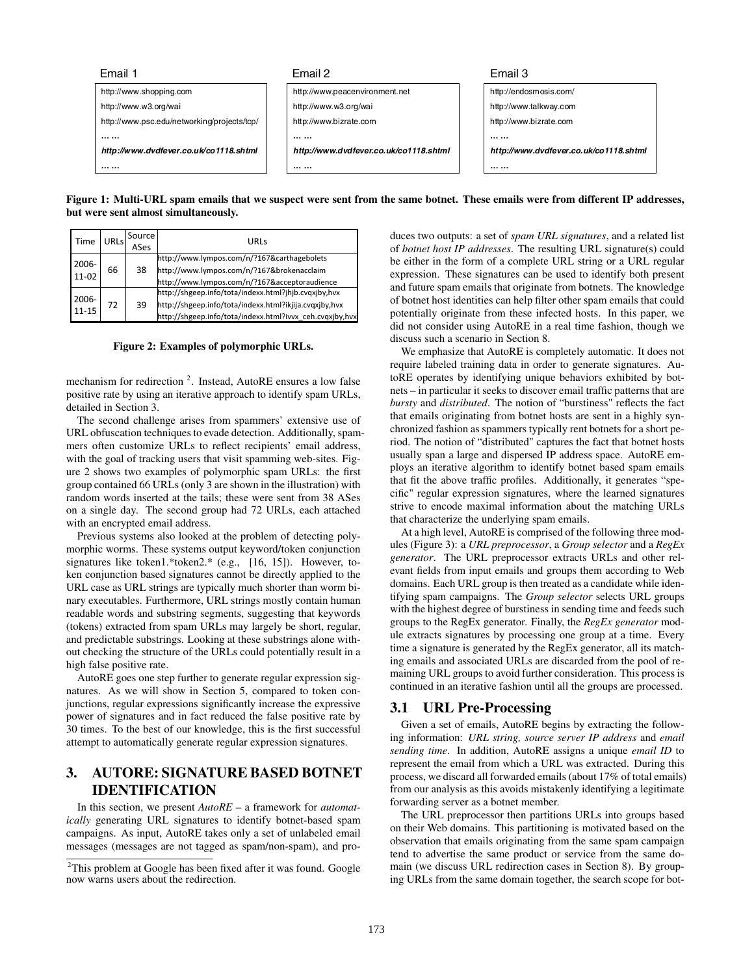

| Email 1 | Email 2 | Email 3 |
|---------|---------|---------|
|         |         |         |

| http://www.shopping.com                     | http://www.peacenvironment.net         |
|---------------------------------------------|----------------------------------------|
| http://www.w3.org/wai                       | http://www.w3.org/wai                  |
| http://www.psc.edu/networking/projects/tcp/ | http://www.bizrate.com                 |
|                                             |                                        |
| http://www.dvdfever.co.uk/co1118.shtml      | http://www.dvdfever.co.uk/co1118.shtml |
|                                             |                                        |



**Figure 1: Multi-URL spam emails that we suspect were sent from the same botnet. These emails were from different IP addresses, but were sent almost simultaneously.**

| Time               | URLsl | Source l<br>ASes | URLs                                                                                                                                                                       |
|--------------------|-------|------------------|----------------------------------------------------------------------------------------------------------------------------------------------------------------------------|
| 2006-<br>11-02     | 66    | 38               | http://www.lympos.com/n/?167&carthagebolets<br>http://www.lympos.com/n/?167&brokenacclaim<br>http://www.lympos.com/n/?167&acceptoraudience                                 |
| 2006-<br>$11 - 15$ | 72    | 39               | http://shgeep.info/tota/indexx.html?jhjb.cvqxjby,hvx<br>http://shgeep.info/tota/indexx.html?ikjija.cvqxjby,hvx<br>http://shgeep.info/tota/indexx.html?ivvx ceh.cvqxjby,hvx |

**Figure 2: Examples of polymorphic URLs.**

mechanism for redirection<sup>2</sup>. Instead, AutoRE ensures a low false positive rate by using an iterative approach to identify spam URLs, detailed in Section 3.

The second challenge arises from spammers' extensive use of URL obfuscation techniques to evade detection. Additionally, spammers often customize URLs to reflect recipients' email address, with the goal of tracking users that visit spamming web-sites. Figure 2 shows two examples of polymorphic spam URLs: the first group contained 66 URLs (only 3 are shown in the illustration) with random words inserted at the tails; these were sent from 38 ASes on a single day. The second group had 72 URLs, each attached with an encrypted email address.

Previous systems also looked at the problem of detecting polymorphic worms. These systems output keyword/token conjunction signatures like token1.\*token2.\* (e.g., [16, 15]). However, token conjunction based signatures cannot be directly applied to the URL case as URL strings are typically much shorter than worm binary executables. Furthermore, URL strings mostly contain human readable words and substring segments, suggesting that keywords (tokens) extracted from spam URLs may largely be short, regular, and predictable substrings. Looking at these substrings alone without checking the structure of the URLs could potentially result in a high false positive rate.

AutoRE goes one step further to generate regular expression signatures. As we will show in Section 5, compared to token conjunctions, regular expressions significantly increase the expressive power of signatures and in fact reduced the false positive rate by 30 times. To the best of our knowledge, this is the first successful attempt to automatically generate regular expression signatures.

## **3. AUTORE: SIGNATURE BASED BOTNET IDENTIFICATION**

In this section, we present *AutoRE* – a framework for *automatically* generating URL signatures to identify botnet-based spam campaigns. As input, AutoRE takes only a set of unlabeled email messages (messages are not tagged as spam/non-spam), and produces two outputs: a set of *spam URL signatures*, and a related list of *botnet host IP addresses*. The resulting URL signature(s) could be either in the form of a complete URL string or a URL regular expression. These signatures can be used to identify both present and future spam emails that originate from botnets. The knowledge of botnet host identities can help filter other spam emails that could potentially originate from these infected hosts. In this paper, we did not consider using AutoRE in a real time fashion, though we discuss such a scenario in Section 8.

We emphasize that AutoRE is completely automatic. It does not require labeled training data in order to generate signatures. AutoRE operates by identifying unique behaviors exhibited by botnets – in particular it seeks to discover email traffic patterns that are *bursty* and *distributed*. The notion of "burstiness" reflects the fact that emails originating from botnet hosts are sent in a highly synchronized fashion as spammers typically rent botnets for a short period. The notion of "distributed" captures the fact that botnet hosts usually span a large and dispersed IP address space. AutoRE employs an iterative algorithm to identify botnet based spam emails that fit the above traffic profiles. Additionally, it generates "specific" regular expression signatures, where the learned signatures strive to encode maximal information about the matching URLs that characterize the underlying spam emails.

At a high level, AutoRE is comprised of the following three modules (Figure 3): a *URL preprocessor*, a *Group selector* and a *RegEx generator*. The URL preprocessor extracts URLs and other relevant fields from input emails and groups them according to Web domains. Each URL group is then treated as a candidate while identifying spam campaigns. The *Group selector* selects URL groups with the highest degree of burstiness in sending time and feeds such groups to the RegEx generator. Finally, the *RegEx generator* module extracts signatures by processing one group at a time. Every time a signature is generated by the RegEx generator, all its matching emails and associated URLs are discarded from the pool of remaining URL groups to avoid further consideration. This process is continued in an iterative fashion until all the groups are processed.

## **3.1 URL Pre-Processing**

Given a set of emails, AutoRE begins by extracting the following information: *URL string, source server IP address* and *email sending time*. In addition, AutoRE assigns a unique *email ID* to represent the email from which a URL was extracted. During this process, we discard all forwarded emails (about 17% of total emails) from our analysis as this avoids mistakenly identifying a legitimate forwarding server as a botnet member.

The URL preprocessor then partitions URLs into groups based on their Web domains. This partitioning is motivated based on the observation that emails originating from the same spam campaign tend to advertise the same product or service from the same domain (we discuss URL redirection cases in Section 8). By grouping URLs from the same domain together, the search scope for bot-

<sup>&</sup>lt;sup>2</sup>This problem at Google has been fixed after it was found. Google now warns users about the redirection.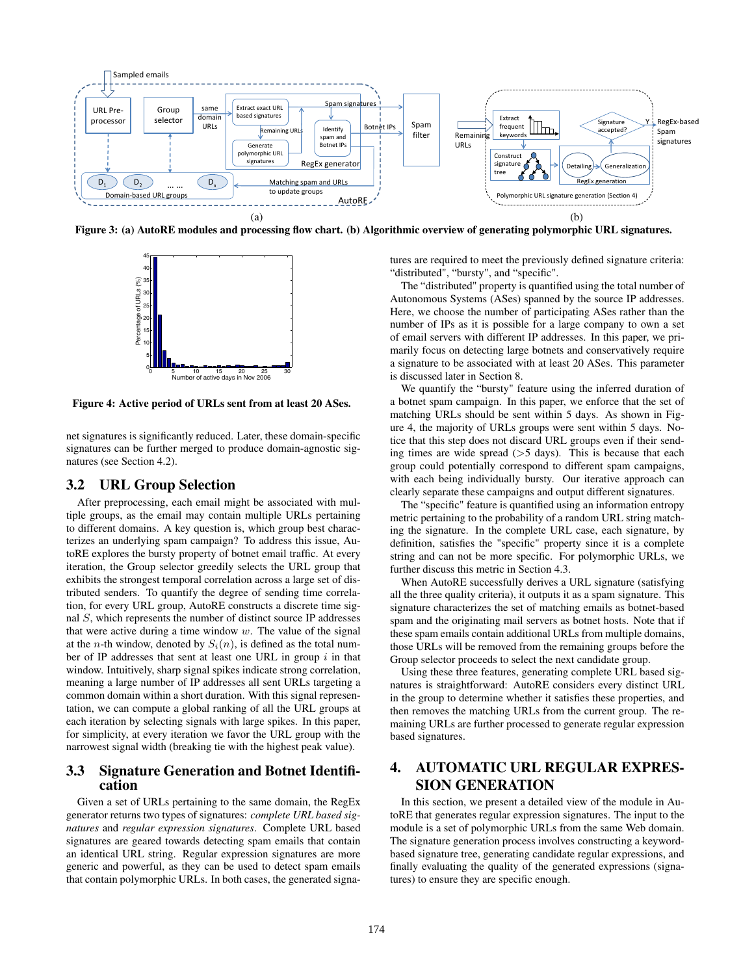

**Figure 3: (a) AutoRE modules and processing flow chart. (b) Algorithmic overview of generating polymorphic URL signatures.**



**Figure 4: Active period of URLs sent from at least 20 ASes.**

net signatures is significantly reduced. Later, these domain-specific signatures can be further merged to produce domain-agnostic signatures (see Section 4.2).

## **3.2 URL Group Selection**

After preprocessing, each email might be associated with multiple groups, as the email may contain multiple URLs pertaining to different domains. A key question is, which group best characterizes an underlying spam campaign? To address this issue, AutoRE explores the bursty property of botnet email traffic. At every iteration, the Group selector greedily selects the URL group that exhibits the strongest temporal correlation across a large set of distributed senders. To quantify the degree of sending time correlation, for every URL group, AutoRE constructs a discrete time signal *S*, which represents the number of distinct source IP addresses that were active during a time window *w*. The value of the signal at the *n*-th window, denoted by  $S_i(n)$ , is defined as the total number of IP addresses that sent at least one URL in group *i* in that window. Intuitively, sharp signal spikes indicate strong correlation, meaning a large number of IP addresses all sent URLs targeting a common domain within a short duration. With this signal representation, we can compute a global ranking of all the URL groups at each iteration by selecting signals with large spikes. In this paper, for simplicity, at every iteration we favor the URL group with the narrowest signal width (breaking tie with the highest peak value).

## **3.3 Signature Generation and Botnet Identification**

Given a set of URLs pertaining to the same domain, the RegEx generator returns two types of signatures: *complete URL based signatures* and *regular expression signatures*. Complete URL based signatures are geared towards detecting spam emails that contain an identical URL string. Regular expression signatures are more generic and powerful, as they can be used to detect spam emails that contain polymorphic URLs. In both cases, the generated signatures are required to meet the previously defined signature criteria: "distributed", "bursty", and "specific".

The "distributed" property is quantified using the total number of Autonomous Systems (ASes) spanned by the source IP addresses. Here, we choose the number of participating ASes rather than the number of IPs as it is possible for a large company to own a set of email servers with different IP addresses. In this paper, we primarily focus on detecting large botnets and conservatively require a signature to be associated with at least 20 ASes. This parameter is discussed later in Section 8.

We quantify the "bursty" feature using the inferred duration of a botnet spam campaign. In this paper, we enforce that the set of matching URLs should be sent within 5 days. As shown in Figure 4, the majority of URLs groups were sent within 5 days. Notice that this step does not discard URL groups even if their sending times are wide spread (*>*5 days). This is because that each group could potentially correspond to different spam campaigns, with each being individually bursty. Our iterative approach can clearly separate these campaigns and output different signatures.

The "specific" feature is quantified using an information entropy metric pertaining to the probability of a random URL string matching the signature. In the complete URL case, each signature, by definition, satisfies the "specific" property since it is a complete string and can not be more specific. For polymorphic URLs, we further discuss this metric in Section 4.3.

When AutoRE successfully derives a URL signature (satisfying all the three quality criteria), it outputs it as a spam signature. This signature characterizes the set of matching emails as botnet-based spam and the originating mail servers as botnet hosts. Note that if these spam emails contain additional URLs from multiple domains, those URLs will be removed from the remaining groups before the Group selector proceeds to select the next candidate group.

Using these three features, generating complete URL based signatures is straightforward: AutoRE considers every distinct URL in the group to determine whether it satisfies these properties, and then removes the matching URLs from the current group. The remaining URLs are further processed to generate regular expression based signatures.

# **4. AUTOMATIC URL REGULAR EXPRES-SION GENERATION**

In this section, we present a detailed view of the module in AutoRE that generates regular expression signatures. The input to the module is a set of polymorphic URLs from the same Web domain. The signature generation process involves constructing a keywordbased signature tree, generating candidate regular expressions, and finally evaluating the quality of the generated expressions (signatures) to ensure they are specific enough.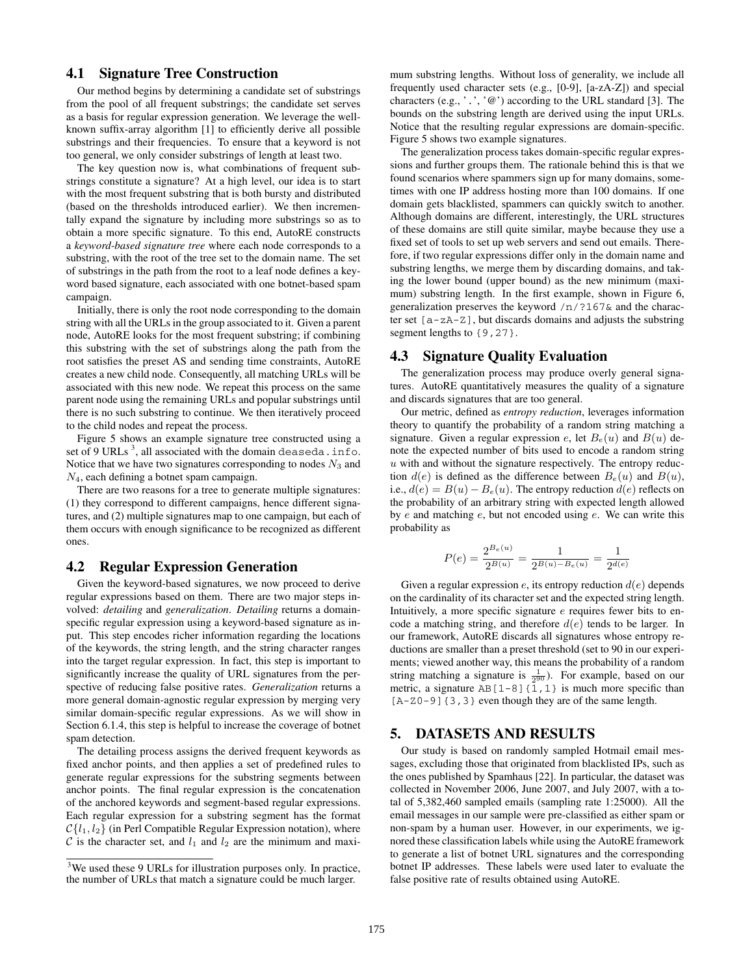## **4.1 Signature Tree Construction**

Our method begins by determining a candidate set of substrings from the pool of all frequent substrings; the candidate set serves as a basis for regular expression generation. We leverage the wellknown suffix-array algorithm [1] to efficiently derive all possible substrings and their frequencies. To ensure that a keyword is not too general, we only consider substrings of length at least two.

The key question now is, what combinations of frequent substrings constitute a signature? At a high level, our idea is to start with the most frequent substring that is both bursty and distributed (based on the thresholds introduced earlier). We then incrementally expand the signature by including more substrings so as to obtain a more specific signature. To this end, AutoRE constructs a *keyword-based signature tree* where each node corresponds to a substring, with the root of the tree set to the domain name. The set of substrings in the path from the root to a leaf node defines a keyword based signature, each associated with one botnet-based spam campaign.

Initially, there is only the root node corresponding to the domain string with all the URLs in the group associated to it. Given a parent node, AutoRE looks for the most frequent substring; if combining this substring with the set of substrings along the path from the root satisfies the preset AS and sending time constraints, AutoRE creates a new child node. Consequently, all matching URLs will be associated with this new node. We repeat this process on the same parent node using the remaining URLs and popular substrings until there is no such substring to continue. We then iteratively proceed to the child nodes and repeat the process.

Figure 5 shows an example signature tree constructed using a set of 9 URLs  $^3$ , all associated with the domain deaseda.info. Notice that we have two signatures corresponding to nodes *N*<sup>3</sup> and *N*4, each defining a botnet spam campaign.

There are two reasons for a tree to generate multiple signatures: (1) they correspond to different campaigns, hence different signatures, and (2) multiple signatures map to one campaign, but each of them occurs with enough significance to be recognized as different ones.

#### **4.2 Regular Expression Generation**

Given the keyword-based signatures, we now proceed to derive regular expressions based on them. There are two major steps involved: *detailing* and *generalization*. *Detailing* returns a domainspecific regular expression using a keyword-based signature as input. This step encodes richer information regarding the locations of the keywords, the string length, and the string character ranges into the target regular expression. In fact, this step is important to significantly increase the quality of URL signatures from the perspective of reducing false positive rates. *Generalization* returns a more general domain-agnostic regular expression by merging very similar domain-specific regular expressions. As we will show in Section 6.1.4, this step is helpful to increase the coverage of botnet spam detection.

The detailing process assigns the derived frequent keywords as fixed anchor points, and then applies a set of predefined rules to generate regular expressions for the substring segments between anchor points. The final regular expression is the concatenation of the anchored keywords and segment-based regular expressions. Each regular expression for a substring segment has the format  $C\{l_1, l_2\}$  (in Perl Compatible Regular Expression notation), where  $C$  is the character set, and  $l_1$  and  $l_2$  are the minimum and maximum substring lengths. Without loss of generality, we include all frequently used character sets (e.g., [0-9], [a-zA-Z]) and special characters  $(e.g., ', ', '@')$  according to the URL standard [3]. The bounds on the substring length are derived using the input URLs. Notice that the resulting regular expressions are domain-specific. Figure 5 shows two example signatures.

The generalization process takes domain-specific regular expressions and further groups them. The rationale behind this is that we found scenarios where spammers sign up for many domains, sometimes with one IP address hosting more than 100 domains. If one domain gets blacklisted, spammers can quickly switch to another. Although domains are different, interestingly, the URL structures of these domains are still quite similar, maybe because they use a fixed set of tools to set up web servers and send out emails. Therefore, if two regular expressions differ only in the domain name and substring lengths, we merge them by discarding domains, and taking the lower bound (upper bound) as the new minimum (maximum) substring length. In the first example, shown in Figure 6, generalization preserves the keyword /n/?167& and the character set [a-zA-Z], but discards domains and adjusts the substring segment lengths to {9,27}.

#### **4.3 Signature Quality Evaluation**

The generalization process may produce overly general signatures. AutoRE quantitatively measures the quality of a signature and discards signatures that are too general.

Our metric, defined as *entropy reduction*, leverages information theory to quantify the probability of a random string matching a signature. Given a regular expression *e*, let  $B_e(u)$  and  $B(u)$  denote the expected number of bits used to encode a random string *u* with and without the signature respectively. The entropy reduction  $d(e)$  is defined as the difference between  $B_e(u)$  and  $B(u)$ , i.e.,  $d(e) = B(u) - B_e(u)$ . The entropy reduction  $d(e)$  reflects on the probability of an arbitrary string with expected length allowed by *e* and matching *e*, but not encoded using *e*. We can write this probability as

$$
P(e) = \frac{2^{B_e(u)}}{2^{B(u)}} = \frac{1}{2^{B(u)-B_e(u)}} = \frac{1}{2^{d(e)}}
$$

Given a regular expression *e*, its entropy reduction *d*(*e*) depends on the cardinality of its character set and the expected string length. Intuitively, a more specific signature *e* requires fewer bits to encode a matching string, and therefore *d*(*e*) tends to be larger. In our framework, AutoRE discards all signatures whose entropy reductions are smaller than a preset threshold (set to 90 in our experiments; viewed another way, this means the probability of a random string matching a signature is  $\frac{1}{2^{90}}$ . For example, based on our metric, a signature AB $[1-8]$  $\{1,1\}$  is much more specific than  $[A-Z0-9]$  {3,3} even though they are of the same length.

## **5. DATASETS AND RESULTS**

Our study is based on randomly sampled Hotmail email messages, excluding those that originated from blacklisted IPs, such as the ones published by Spamhaus [22]. In particular, the dataset was collected in November 2006, June 2007, and July 2007, with a total of 5,382,460 sampled emails (sampling rate 1:25000). All the email messages in our sample were pre-classified as either spam or non-spam by a human user. However, in our experiments, we ignored these classification labels while using the AutoRE framework to generate a list of botnet URL signatures and the corresponding botnet IP addresses. These labels were used later to evaluate the false positive rate of results obtained using AutoRE.

<sup>&</sup>lt;sup>3</sup>We used these 9 URLs for illustration purposes only. In practice, the number of URLs that match a signature could be much larger.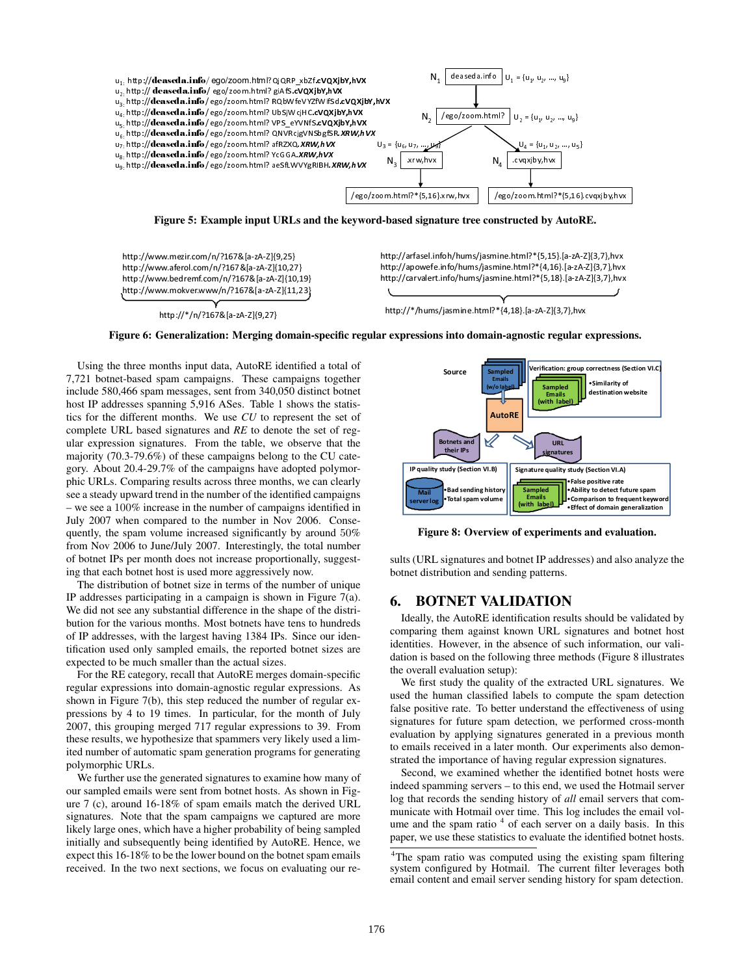

http://www.mezir.com/n/?167&[a-zA-Z]{9,25} http://www.aferol.com/n/?167&[a-zA-Z]{10,27} http://www.bedremf.com/n/?167&[a-zA-Z]{10,19} http://www.mokver.www/n/?167&[a-zA-Z]{11,23}

http://\*/n/?167&[a-zA-Z]{9,27}

http://arfasel.infoh/hums/jasmine.html?\*{5,15}.[a-zA-Z]{3,7},hvx http://apowefe.info/hums/jasmine.html?\*{4,16}.[a-zA-Z]{3,7 },hvx http://carvalert.info/hums/jasmine.html?\*{5,18}.[a-zA-Z]{3,7},hvx

http://\*/hums/jasmine.html?\*{4,18}.[a-zA-Z]{3,7},hvx

**Figure 6: Generalization: Merging domain-specific regular expressions into domain-agnostic regular expressions.**

Using the three months input data, AutoRE identified a total of 7,721 botnet-based spam campaigns. These campaigns together include 580,466 spam messages, sent from 340,050 distinct botnet host IP addresses spanning 5,916 ASes. Table 1 shows the statistics for the different months. We use *CU* to represent the set of complete URL based signatures and *RE* to denote the set of regular expression signatures. From the table, we observe that the majority (70.3-79.6%) of these campaigns belong to the CU category. About 20.4-29.7% of the campaigns have adopted polymorphic URLs. Comparing results across three months, we can clearly see a steady upward trend in the number of the identified campaigns – we see a 100% increase in the number of campaigns identified in July 2007 when compared to the number in Nov 2006. Consequently, the spam volume increased significantly by around 50% from Nov 2006 to June/July 2007. Interestingly, the total number of botnet IPs per month does not increase proportionally, suggesting that each botnet host is used more aggressively now.

The distribution of botnet size in terms of the number of unique IP addresses participating in a campaign is shown in Figure 7(a). We did not see any substantial difference in the shape of the distribution for the various months. Most botnets have tens to hundreds of IP addresses, with the largest having 1384 IPs. Since our identification used only sampled emails, the reported botnet sizes are expected to be much smaller than the actual sizes.

For the RE category, recall that AutoRE merges domain-specific regular expressions into domain-agnostic regular expressions. As shown in Figure 7(b), this step reduced the number of regular expressions by 4 to 19 times. In particular, for the month of July 2007, this grouping merged 717 regular expressions to 39. From these results, we hypothesize that spammers very likely used a limited number of automatic spam generation programs for generating polymorphic URLs.

We further use the generated signatures to examine how many of our sampled emails were sent from botnet hosts. As shown in Figure 7 (c), around 16-18% of spam emails match the derived URL signatures. Note that the spam campaigns we captured are more likely large ones, which have a higher probability of being sampled initially and subsequently being identified by AutoRE. Hence, we expect this 16-18% to be the lower bound on the botnet spam emails received. In the two next sections, we focus on evaluating our re-



**Figure 8: Overview of experiments and evaluation.**

sults (URL signatures and botnet IP addresses) and also analyze the botnet distribution and sending patterns.

## **6. BOTNET VALIDATION**

Ideally, the AutoRE identification results should be validated by comparing them against known URL signatures and botnet host identities. However, in the absence of such information, our validation is based on the following three methods (Figure 8 illustrates the overall evaluation setup):

We first study the quality of the extracted URL signatures. We used the human classified labels to compute the spam detection false positive rate. To better understand the effectiveness of using signatures for future spam detection, we performed cross-month evaluation by applying signatures generated in a previous month to emails received in a later month. Our experiments also demonstrated the importance of having regular expression signatures.

Second, we examined whether the identified botnet hosts were indeed spamming servers – to this end, we used the Hotmail server log that records the sending history of *all* email servers that communicate with Hotmail over time. This log includes the email volume and the spam ratio  $4$  of each server on a daily basis. In this paper, we use these statistics to evaluate the identified botnet hosts.

<sup>&</sup>lt;sup>4</sup>The spam ratio was computed using the existing spam filtering system configured by Hotmail. The current filter leverages both email content and email server sending history for spam detection.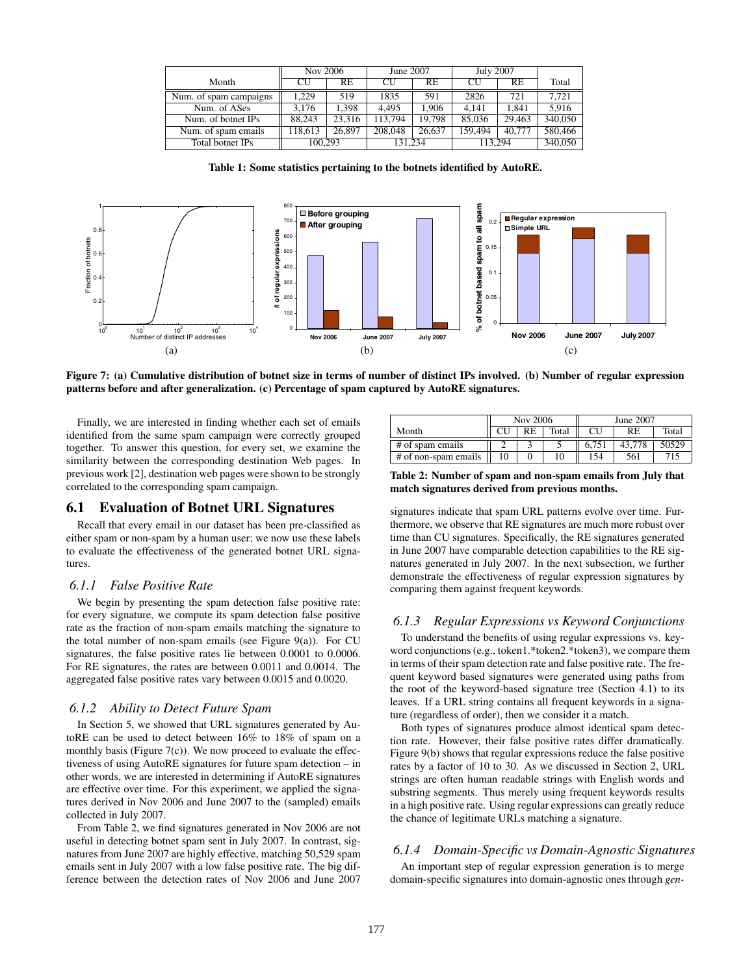|                        | Nov 2006 |           | June 2007 |        | <b>July 2007</b> |           |         |
|------------------------|----------|-----------|-----------|--------|------------------|-----------|---------|
| Month                  | ĊU       | <b>RE</b> | CU        | RE     | CU               | <b>RE</b> | Total   |
| Num. of spam campaigns | 1.229    | 519       | 1835      | 591    | 2826             | 721       | 7.721   |
| Num. of ASes           | 3.176    | 1.398     | 4.495     | 1.906  | 4.141            | 1.841     | 5.916   |
| Num. of botnet IPs     | 88.243   | 23.316    | 113.794   | 19.798 | 85,036           | 29.463    | 340,050 |
| Num. of spam emails    | 18.613   | 26.897    | 208,048   | 26.637 | 159.494          | 40,777    | 580,466 |
| Total botnet IPs       | 100,293  |           | 131.234   |        | 113,294          |           | 340,050 |

**Table 1: Some statistics pertaining to the botnets identified by AutoRE.**



**Figure 7: (a) Cumulative distribution of botnet size in terms of number of distinct IPs involved. (b) Number of regular expression patterns before and after generalization. (c) Percentage of spam captured by AutoRE signatures.**

Finally, we are interested in finding whether each set of emails identified from the same spam campaign were correctly grouped together. To answer this question, for every set, we examine the similarity between the corresponding destination Web pages. In previous work [2], destination web pages were shown to be strongly correlated to the corresponding spam campaign.

## **6.1 Evaluation of Botnet URL Signatures**

Recall that every email in our dataset has been pre-classified as either spam or non-spam by a human user; we now use these labels to evaluate the effectiveness of the generated botnet URL signatures.

#### *6.1.1 False Positive Rate*

We begin by presenting the spam detection false positive rate: for every signature, we compute its spam detection false positive rate as the fraction of non-spam emails matching the signature to the total number of non-spam emails (see Figure  $9(a)$ ). For CU signatures, the false positive rates lie between 0.0001 to 0.0006. For RE signatures, the rates are between 0.0011 and 0.0014. The aggregated false positive rates vary between 0.0015 and 0.0020.

#### *6.1.2 Ability to Detect Future Spam*

In Section 5, we showed that URL signatures generated by AutoRE can be used to detect between 16% to 18% of spam on a monthly basis (Figure  $7(c)$ ). We now proceed to evaluate the effectiveness of using AutoRE signatures for future spam detection – in other words, we are interested in determining if AutoRE signatures are effective over time. For this experiment, we applied the signatures derived in Nov 2006 and June 2007 to the (sampled) emails collected in July 2007.

From Table 2, we find signatures generated in Nov 2006 are not useful in detecting botnet spam sent in July 2007. In contrast, signatures from June 2007 are highly effective, matching 50,529 spam emails sent in July 2007 with a low false positive rate. The big difference between the detection rates of Nov 2006 and June 2007

|                      | Nov 2006 |    |       | June 2007 |        |       |  |
|----------------------|----------|----|-------|-----------|--------|-------|--|
| Month                |          | RE | Total |           | RE     | Total |  |
| # of spam emails     |          |    |       | 6.751     | 43,778 | 50529 |  |
| # of non-spam emails | 10       |    |       | 154       | 561    | 715   |  |

| Table 2: Number of spam and non-spam emails from July that |  |  |
|------------------------------------------------------------|--|--|
| match signatures derived from previous months.             |  |  |

signatures indicate that spam URL patterns evolve over time. Furthermore, we observe that RE signatures are much more robust over time than CU signatures. Specifically, the RE signatures generated in June 2007 have comparable detection capabilities to the RE signatures generated in July 2007. In the next subsection, we further demonstrate the effectiveness of regular expression signatures by comparing them against frequent keywords.

#### *6.1.3 Regular Expressions vs Keyword Conjunctions*

To understand the benefits of using regular expressions vs. keyword conjunctions (e.g., token1.\*token2.\*token3), we compare them in terms of their spam detection rate and false positive rate. The frequent keyword based signatures were generated using paths from the root of the keyword-based signature tree (Section 4.1) to its leaves. If a URL string contains all frequent keywords in a signature (regardless of order), then we consider it a match.

Both types of signatures produce almost identical spam detection rate. However, their false positive rates differ dramatically. Figure 9(b) shows that regular expressions reduce the false positive rates by a factor of 10 to 30. As we discussed in Section 2, URL strings are often human readable strings with English words and substring segments. Thus merely using frequent keywords results in a high positive rate. Using regular expressions can greatly reduce the chance of legitimate URLs matching a signature.

## *6.1.4 Domain-Specific vs Domain-Agnostic Signatures*

An important step of regular expression generation is to merge domain-specific signatures into domain-agnostic ones through *gen-*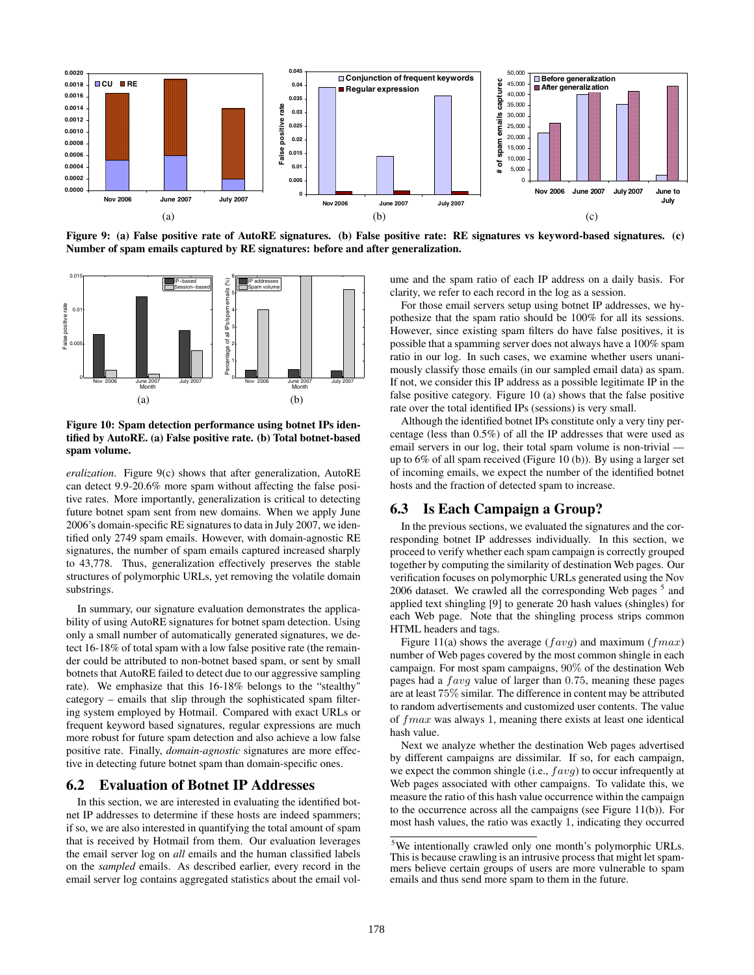

**Figure 9: (a) False positive rate of AutoRE signatures. (b) False positive rate: RE signatures vs keyword-based signatures. (c) Number of spam emails captured by RE signatures: before and after generalization.**



**Figure 10: Spam detection performance using botnet IPs identified by AutoRE. (a) False positive rate. (b) Total botnet-based spam volume.**

*eralization*. Figure 9(c) shows that after generalization, AutoRE can detect 9.9-20.6% more spam without affecting the false positive rates. More importantly, generalization is critical to detecting future botnet spam sent from new domains. When we apply June 2006's domain-specific RE signatures to data in July 2007, we identified only 2749 spam emails. However, with domain-agnostic RE signatures, the number of spam emails captured increased sharply to 43,778. Thus, generalization effectively preserves the stable structures of polymorphic URLs, yet removing the volatile domain substrings.

In summary, our signature evaluation demonstrates the applicability of using AutoRE signatures for botnet spam detection. Using only a small number of automatically generated signatures, we detect 16-18% of total spam with a low false positive rate (the remainder could be attributed to non-botnet based spam, or sent by small botnets that AutoRE failed to detect due to our aggressive sampling rate). We emphasize that this 16-18% belongs to the "stealthy" category – emails that slip through the sophisticated spam filtering system employed by Hotmail. Compared with exact URLs or frequent keyword based signatures, regular expressions are much more robust for future spam detection and also achieve a low false positive rate. Finally, *domain-agnostic* signatures are more effective in detecting future botnet spam than domain-specific ones.

#### **6.2 Evaluation of Botnet IP Addresses**

In this section, we are interested in evaluating the identified botnet IP addresses to determine if these hosts are indeed spammers; if so, we are also interested in quantifying the total amount of spam that is received by Hotmail from them. Our evaluation leverages the email server log on *all* emails and the human classified labels on the *sampled* emails. As described earlier, every record in the email server log contains aggregated statistics about the email volume and the spam ratio of each IP address on a daily basis. For clarity, we refer to each record in the log as a session.

For those email servers setup using botnet IP addresses, we hypothesize that the spam ratio should be 100% for all its sessions. However, since existing spam filters do have false positives, it is possible that a spamming server does not always have a 100% spam ratio in our log. In such cases, we examine whether users unanimously classify those emails (in our sampled email data) as spam. If not, we consider this IP address as a possible legitimate IP in the false positive category. Figure 10 (a) shows that the false positive rate over the total identified IPs (sessions) is very small.

Although the identified botnet IPs constitute only a very tiny percentage (less than 0.5%) of all the IP addresses that were used as email servers in our log, their total spam volume is non-trivial up to 6% of all spam received (Figure 10 (b)). By using a larger set of incoming emails, we expect the number of the identified botnet hosts and the fraction of detected spam to increase.

#### **6.3 Is Each Campaign a Group?**

In the previous sections, we evaluated the signatures and the corresponding botnet IP addresses individually. In this section, we proceed to verify whether each spam campaign is correctly grouped together by computing the similarity of destination Web pages. Our verification focuses on polymorphic URLs generated using the Nov 2006 dataset. We crawled all the corresponding Web pages  $\delta$  and applied text shingling [9] to generate 20 hash values (shingles) for each Web page. Note that the shingling process strips common HTML headers and tags.

Figure 11(a) shows the average (*favg*) and maximum (*fmax*) number of Web pages covered by the most common shingle in each campaign. For most spam campaigns, 90% of the destination Web pages had a *favg* value of larger than 0*.*75, meaning these pages are at least 75% similar. The difference in content may be attributed to random advertisements and customized user contents. The value of *fmax* was always 1, meaning there exists at least one identical hash value.

Next we analyze whether the destination Web pages advertised by different campaigns are dissimilar. If so, for each campaign, we expect the common shingle (i.e., *favg*) to occur infrequently at Web pages associated with other campaigns. To validate this, we measure the ratio of this hash value occurrence within the campaign to the occurrence across all the campaigns (see Figure 11(b)). For most hash values, the ratio was exactly 1, indicating they occurred

<sup>&</sup>lt;sup>5</sup>We intentionally crawled only one month's polymorphic URLs. This is because crawling is an intrusive process that might let spammers believe certain groups of users are more vulnerable to spam emails and thus send more spam to them in the future.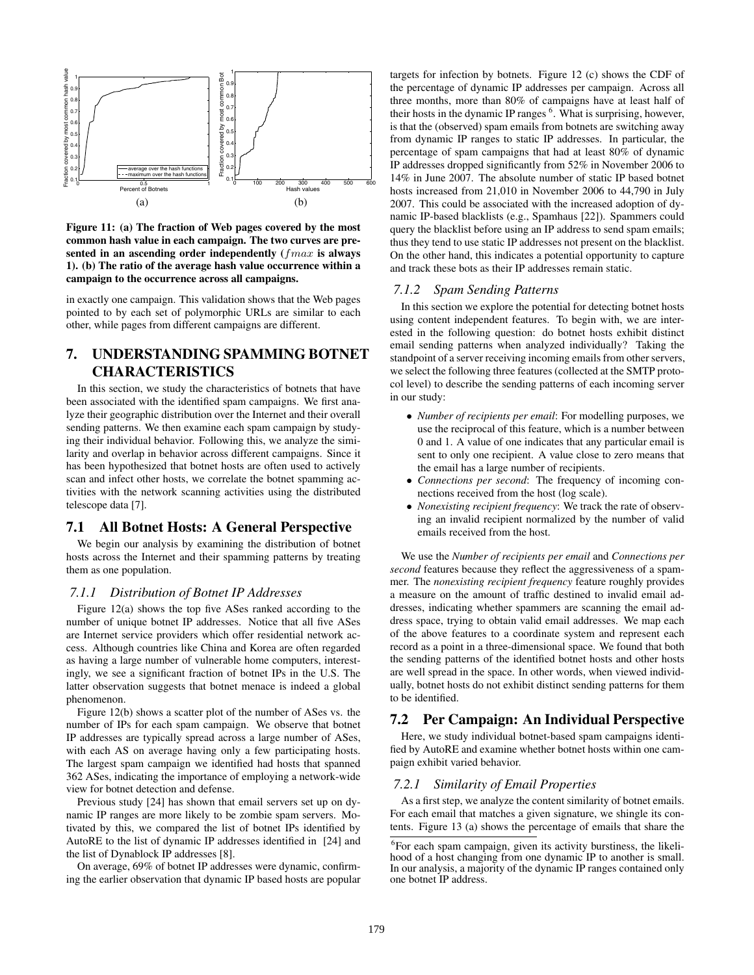

**Figure 11: (a) The fraction of Web pages covered by the most common hash value in each campaign. The two curves are presented in an ascending order independently (***fmax* **is always 1). (b) The ratio of the average hash value occurrence within a campaign to the occurrence across all campaigns.**

in exactly one campaign. This validation shows that the Web pages pointed to by each set of polymorphic URLs are similar to each other, while pages from different campaigns are different.

# **7. UNDERSTANDING SPAMMING BOTNET CHARACTERISTICS**

In this section, we study the characteristics of botnets that have been associated with the identified spam campaigns. We first analyze their geographic distribution over the Internet and their overall sending patterns. We then examine each spam campaign by studying their individual behavior. Following this, we analyze the similarity and overlap in behavior across different campaigns. Since it has been hypothesized that botnet hosts are often used to actively scan and infect other hosts, we correlate the botnet spamming activities with the network scanning activities using the distributed telescope data [7].

#### **7.1 All Botnet Hosts: A General Perspective**

We begin our analysis by examining the distribution of botnet hosts across the Internet and their spamming patterns by treating them as one population.

#### *7.1.1 Distribution of Botnet IP Addresses*

Figure 12(a) shows the top five ASes ranked according to the number of unique botnet IP addresses. Notice that all five ASes are Internet service providers which offer residential network access. Although countries like China and Korea are often regarded as having a large number of vulnerable home computers, interestingly, we see a significant fraction of botnet IPs in the U.S. The latter observation suggests that botnet menace is indeed a global phenomenon.

Figure 12(b) shows a scatter plot of the number of ASes vs. the number of IPs for each spam campaign. We observe that botnet IP addresses are typically spread across a large number of ASes, with each AS on average having only a few participating hosts. The largest spam campaign we identified had hosts that spanned 362 ASes, indicating the importance of employing a network-wide view for botnet detection and defense.

Previous study [24] has shown that email servers set up on dynamic IP ranges are more likely to be zombie spam servers. Motivated by this, we compared the list of botnet IPs identified by AutoRE to the list of dynamic IP addresses identified in [24] and the list of Dynablock IP addresses [8].

On average, 69% of botnet IP addresses were dynamic, confirming the earlier observation that dynamic IP based hosts are popular targets for infection by botnets. Figure 12 (c) shows the CDF of the percentage of dynamic IP addresses per campaign. Across all three months, more than 80% of campaigns have at least half of their hosts in the dynamic IP ranges <sup>6</sup>. What is surprising, however, is that the (observed) spam emails from botnets are switching away from dynamic IP ranges to static IP addresses. In particular, the percentage of spam campaigns that had at least 80% of dynamic IP addresses dropped significantly from 52% in November 2006 to 14% in June 2007. The absolute number of static IP based botnet hosts increased from 21,010 in November 2006 to 44,790 in July 2007. This could be associated with the increased adoption of dynamic IP-based blacklists (e.g., Spamhaus [22]). Spammers could query the blacklist before using an IP address to send spam emails; thus they tend to use static IP addresses not present on the blacklist. On the other hand, this indicates a potential opportunity to capture and track these bots as their IP addresses remain static.

#### *7.1.2 Spam Sending Patterns*

In this section we explore the potential for detecting botnet hosts using content independent features. To begin with, we are interested in the following question: do botnet hosts exhibit distinct email sending patterns when analyzed individually? Taking the standpoint of a server receiving incoming emails from other servers, we select the following three features (collected at the SMTP protocol level) to describe the sending patterns of each incoming server in our study:

- *• Number of recipients per email*: For modelling purposes, we use the reciprocal of this feature, which is a number between 0 and 1. A value of one indicates that any particular email is sent to only one recipient. A value close to zero means that the email has a large number of recipients.
- *• Connections per second*: The frequency of incoming connections received from the host (log scale).
- *• Nonexisting recipient frequency*: We track the rate of observing an invalid recipient normalized by the number of valid emails received from the host.

We use the *Number of recipients per email* and *Connections per second* features because they reflect the aggressiveness of a spammer. The *nonexisting recipient frequency* feature roughly provides a measure on the amount of traffic destined to invalid email addresses, indicating whether spammers are scanning the email address space, trying to obtain valid email addresses. We map each of the above features to a coordinate system and represent each record as a point in a three-dimensional space. We found that both the sending patterns of the identified botnet hosts and other hosts are well spread in the space. In other words, when viewed individually, botnet hosts do not exhibit distinct sending patterns for them to be identified.

## **7.2 Per Campaign: An Individual Perspective**

Here, we study individual botnet-based spam campaigns identified by AutoRE and examine whether botnet hosts within one campaign exhibit varied behavior.

#### *7.2.1 Similarity of Email Properties*

As a first step, we analyze the content similarity of botnet emails. For each email that matches a given signature, we shingle its contents. Figure 13 (a) shows the percentage of emails that share the

<sup>6</sup> For each spam campaign, given its activity burstiness, the likelihood of a host changing from one dynamic IP to another is small. In our analysis, a majority of the dynamic IP ranges contained only one botnet IP address.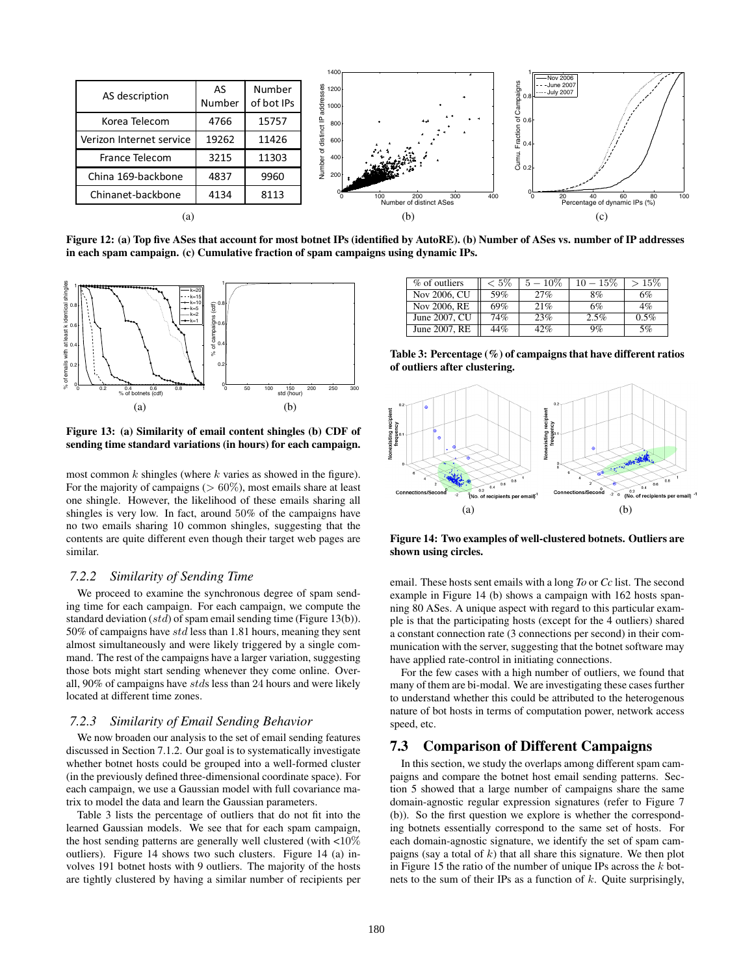

**Figure 12: (a) Top five ASes that account for most botnet IPs (identified by AutoRE). (b) Number of ASes vs. number of IP addresses in each spam campaign. (c) Cumulative fraction of spam campaigns using dynamic IPs.**



**Figure 13: (a) Similarity of email content shingles (b) CDF of sending time standard variations (in hours) for each campaign.**

most common *k* shingles (where *k* varies as showed in the figure). For the majority of campaigns (*>* 60%), most emails share at least one shingle. However, the likelihood of these emails sharing all shingles is very low. In fact, around 50% of the campaigns have no two emails sharing 10 common shingles, suggesting that the contents are quite different even though their target web pages are similar.

#### *7.2.2 Similarity of Sending Time*

We proceed to examine the synchronous degree of spam sending time for each campaign. For each campaign, we compute the standard deviation (*std*) of spam email sending time (Figure 13(b)). 50% of campaigns have *std* less than 1.81 hours, meaning they sent almost simultaneously and were likely triggered by a single command. The rest of the campaigns have a larger variation, suggesting those bots might start sending whenever they come online. Overall, 90% of campaigns have *std*s less than 24 hours and were likely located at different time zones.

#### *7.2.3 Similarity of Email Sending Behavior*

We now broaden our analysis to the set of email sending features discussed in Section 7.1.2. Our goal is to systematically investigate whether botnet hosts could be grouped into a well-formed cluster (in the previously defined three-dimensional coordinate space). For each campaign, we use a Gaussian model with full covariance matrix to model the data and learn the Gaussian parameters.

Table 3 lists the percentage of outliers that do not fit into the learned Gaussian models. We see that for each spam campaign, the host sending patterns are generally well clustered (with <10% outliers). Figure 14 shows two such clusters. Figure 14 (a) involves 191 botnet hosts with 9 outliers. The majority of the hosts are tightly clustered by having a similar number of recipients per

| % of outliers | $< 5\%$ | $5 - 10\%$ | 15%  | $15\%$ |
|---------------|---------|------------|------|--------|
| Nov 2006, CU  | 59%     | 27%        | 8%   | 6%     |
| Nov 2006, RE  | 69%     | 21%        | 6%   | 4%     |
| June 2007, CU | 74%     | 23%        | 2.5% | 0.5%   |
| June 2007, RE | 44%     | 42%        | 9%   | 5%     |

**Table 3: Percentage (%) of campaigns that have different ratios of outliers after clustering.**



**Figure 14: Two examples of well-clustered botnets. Outliers are shown using circles.**

email. These hosts sent emails with a long *To* or *Cc* list. The second example in Figure 14 (b) shows a campaign with 162 hosts spanning 80 ASes. A unique aspect with regard to this particular example is that the participating hosts (except for the 4 outliers) shared a constant connection rate (3 connections per second) in their communication with the server, suggesting that the botnet software may have applied rate-control in initiating connections.

For the few cases with a high number of outliers, we found that many of them are bi-modal. We are investigating these cases further to understand whether this could be attributed to the heterogenous nature of bot hosts in terms of computation power, network access speed, etc.

#### **7.3 Comparison of Different Campaigns**

In this section, we study the overlaps among different spam campaigns and compare the botnet host email sending patterns. Section 5 showed that a large number of campaigns share the same domain-agnostic regular expression signatures (refer to Figure 7 (b)). So the first question we explore is whether the corresponding botnets essentially correspond to the same set of hosts. For each domain-agnostic signature, we identify the set of spam campaigns (say a total of *k*) that all share this signature. We then plot in Figure 15 the ratio of the number of unique IPs across the *k* botnets to the sum of their IPs as a function of *k*. Quite surprisingly,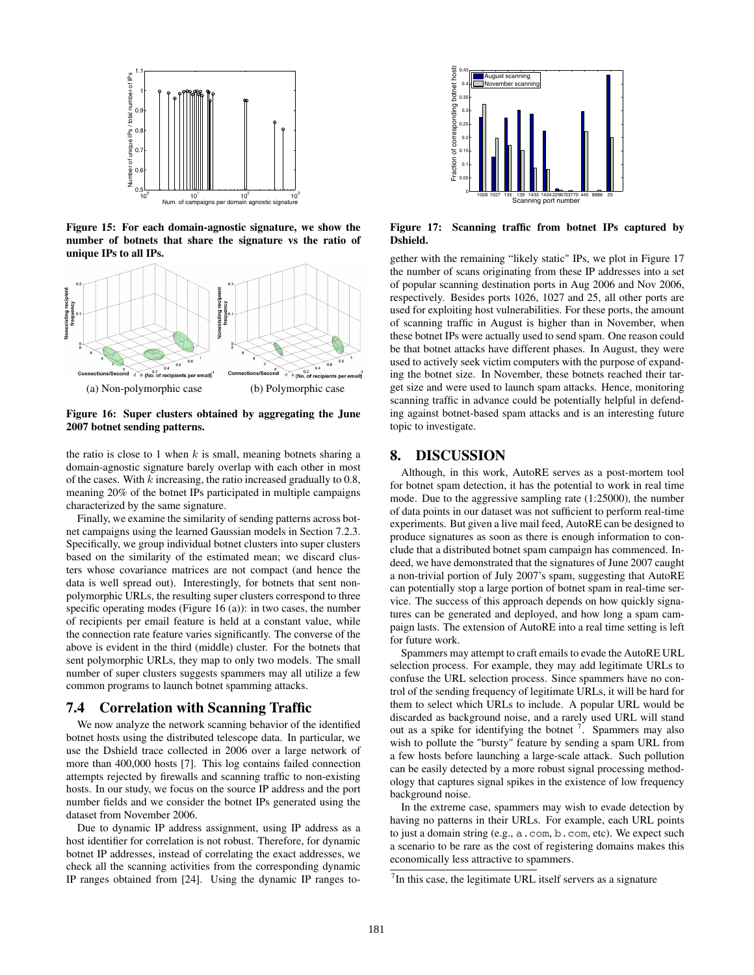

**Figure 15: For each domain-agnostic signature, we show the number of botnets that share the signature vs the ratio of unique IPs to all IPs.**



**Figure 16: Super clusters obtained by aggregating the June 2007 botnet sending patterns.**

the ratio is close to 1 when  $k$  is small, meaning botnets sharing a domain-agnostic signature barely overlap with each other in most of the cases. With *k* increasing, the ratio increased gradually to 0.8, meaning 20% of the botnet IPs participated in multiple campaigns characterized by the same signature.

Finally, we examine the similarity of sending patterns across botnet campaigns using the learned Gaussian models in Section 7.2.3. Specifically, we group individual botnet clusters into super clusters based on the similarity of the estimated mean; we discard clusters whose covariance matrices are not compact (and hence the data is well spread out). Interestingly, for botnets that sent nonpolymorphic URLs, the resulting super clusters correspond to three specific operating modes (Figure 16 (a)): in two cases, the number of recipients per email feature is held at a constant value, while the connection rate feature varies significantly. The converse of the above is evident in the third (middle) cluster. For the botnets that sent polymorphic URLs, they map to only two models. The small number of super clusters suggests spammers may all utilize a few common programs to launch botnet spamming attacks.

#### **7.4 Correlation with Scanning Traffic**

We now analyze the network scanning behavior of the identified botnet hosts using the distributed telescope data. In particular, we use the Dshield trace collected in 2006 over a large network of more than 400,000 hosts [7]. This log contains failed connection attempts rejected by firewalls and scanning traffic to non-existing hosts. In our study, we focus on the source IP address and the port number fields and we consider the botnet IPs generated using the dataset from November 2006.

Due to dynamic IP address assignment, using IP address as a host identifier for correlation is not robust. Therefore, for dynamic botnet IP addresses, instead of correlating the exact addresses, we check all the scanning activities from the corresponding dynamic IP ranges obtained from [24]. Using the dynamic IP ranges to-



**Figure 17: Scanning traffic from botnet IPs captured by Dshield.**

gether with the remaining "likely static" IPs, we plot in Figure 17 the number of scans originating from these IP addresses into a set of popular scanning destination ports in Aug 2006 and Nov 2006, respectively. Besides ports 1026, 1027 and 25, all other ports are used for exploiting host vulnerabilities. For these ports, the amount of scanning traffic in August is higher than in November, when these botnet IPs were actually used to send spam. One reason could be that botnet attacks have different phases. In August, they were used to actively seek victim computers with the purpose of expanding the botnet size. In November, these botnets reached their target size and were used to launch spam attacks. Hence, monitoring scanning traffic in advance could be potentially helpful in defending against botnet-based spam attacks and is an interesting future topic to investigate.

## **8. DISCUSSION**

Although, in this work, AutoRE serves as a post-mortem tool for botnet spam detection, it has the potential to work in real time mode. Due to the aggressive sampling rate (1:25000), the number of data points in our dataset was not sufficient to perform real-time experiments. But given a live mail feed, AutoRE can be designed to produce signatures as soon as there is enough information to conclude that a distributed botnet spam campaign has commenced. Indeed, we have demonstrated that the signatures of June 2007 caught a non-trivial portion of July 2007's spam, suggesting that AutoRE can potentially stop a large portion of botnet spam in real-time service. The success of this approach depends on how quickly signatures can be generated and deployed, and how long a spam campaign lasts. The extension of AutoRE into a real time setting is left for future work.

Spammers may attempt to craft emails to evade the AutoRE URL selection process. For example, they may add legitimate URLs to confuse the URL selection process. Since spammers have no control of the sending frequency of legitimate URLs, it will be hard for them to select which URLs to include. A popular URL would be discarded as background noise, and a rarely used URL will stand out as a spike for identifying the botnet  $\overline{1}$ . Spammers may also wish to pollute the "bursty" feature by sending a spam URL from a few hosts before launching a large-scale attack. Such pollution can be easily detected by a more robust signal processing methodology that captures signal spikes in the existence of low frequency background noise.

In the extreme case, spammers may wish to evade detection by having no patterns in their URLs. For example, each URL points to just a domain string (e.g., a.com, b.com, etc). We expect such a scenario to be rare as the cost of registering domains makes this economically less attractive to spammers.

 $7$ In this case, the legitimate URL itself servers as a signature